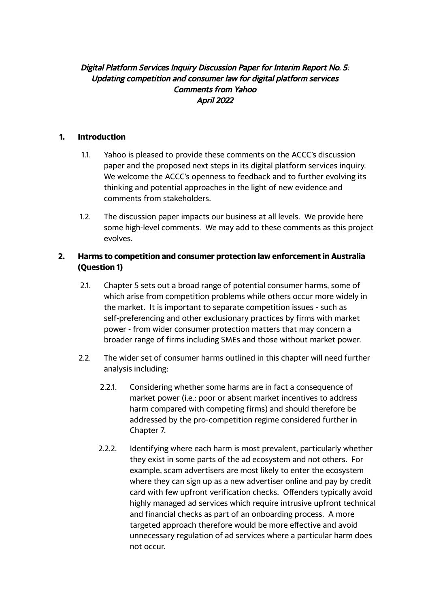## Digital Platform Services Inquiry Discussion Paper for Interim Report No. 5: Updating competition and consumer law for digital platform services Comments from Yahoo April 2022

## **1. Introduction**

- 1.1. Yahoo is pleased to provide these comments on the ACCC's discussion paper and the proposed next steps in its digital platform services inquiry. We welcome the ACCC's openness to feedback and to further evolving its thinking and potential approaches in the light of new evidence and comments from stakeholders.
- 1.2. The discussion paper impacts our business at all levels. We provide here some high-level comments. We may add to these comments as this project evolves.

## **2. Harms to competition and consumer protection law enforcement in Australia (Question 1)**

- 2.1. Chapter 5 sets out a broad range of potential consumer harms, some of which arise from competition problems while others occur more widely in the market. It is important to separate competition issues - such as self-preferencing and other exclusionary practices by firms with market power - from wider consumer protection matters that may concern a broader range of firms including SMEs and those without market power.
- 2.2. The wider set of consumer harms outlined in this chapter will need further analysis including:
	- 2.2.1. Considering whether some harms are in fact a consequence of market power (i.e.: poor or absent market incentives to address harm compared with competing firms) and should therefore be addressed by the pro-competition regime considered further in Chapter 7.
	- 2.2.2. Identifying where each harm is most prevalent, particularly whether they exist in some parts of the ad ecosystem and not others. For example, scam advertisers are most likely to enter the ecosystem where they can sign up as a new advertiser online and pay by credit card with few upfront verification checks. Offenders typically avoid highly managed ad services which require intrusive upfront technical and financial checks as part of an onboarding process. A more targeted approach therefore would be more effective and avoid unnecessary regulation of ad services where a particular harm does not occur.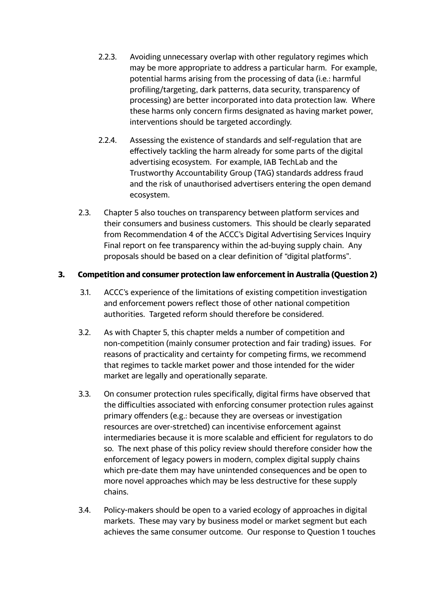- 2.2.3. Avoiding unnecessary overlap with other regulatory regimes which may be more appropriate to address a particular harm. For example, potential harms arising from the processing of data (i.e.: harmful profiling/targeting, dark patterns, data security, transparency of processing) are better incorporated into data protection law. Where these harms only concern firms designated as having market power, interventions should be targeted accordingly.
- 2.2.4. Assessing the existence of standards and self-regulation that are effectively tackling the harm already for some parts of the digital advertising ecosystem. For example, IAB TechLab and the Trustworthy Accountability Group (TAG) standards address fraud and the risk of unauthorised advertisers entering the open demand ecosystem.
- 2.3. Chapter 5 also touches on transparency between platform services and their consumers and business customers. This should be clearly separated from Recommendation 4 of the ACCC's Digital Advertising Services Inquiry Final report on fee transparency within the ad-buying supply chain. Any proposals should be based on a clear definition of "digital platforms".

## **3. Competition and consumer protection law enforcement in Australia (Question 2)**

- 3.1. ACCC's experience of the limitations of existing competition investigation and enforcement powers reflect those of other national competition authorities. Targeted reform should therefore be considered.
- 3.2. As with Chapter 5, this chapter melds a number of competition and non-competition (mainly consumer protection and fair trading) issues. For reasons of practicality and certainty for competing firms, we recommend that regimes to tackle market power and those intended for the wider market are legally and operationally separate.
- 3.3. On consumer protection rules specifically, digital firms have observed that the difficulties associated with enforcing consumer protection rules against primary offenders (e.g.: because they are overseas or investigation resources are over-stretched) can incentivise enforcement against intermediaries because it is more scalable and efficient for regulators to do so. The next phase of this policy review should therefore consider how the enforcement of legacy powers in modern, complex digital supply chains which pre-date them may have unintended consequences and be open to more novel approaches which may be less destructive for these supply chains.
- 3.4. Policy-makers should be open to a varied ecology of approaches in digital markets. These may vary by business model or market segment but each achieves the same consumer outcome. Our response to Question 1 touches